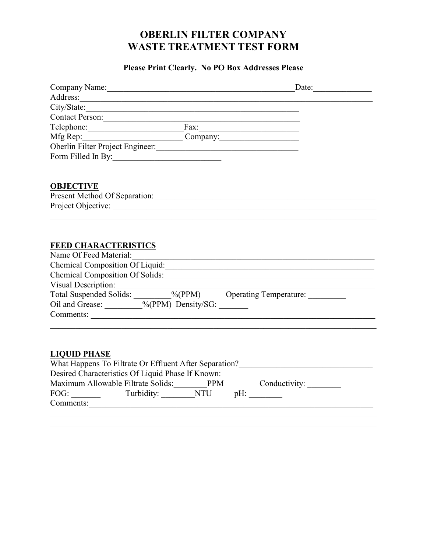# **OBERLIN FILTER COMPANY WASTE TREATMENT TEST FORM**

## **Please Print Clearly. No PO Box Addresses Please**

| Company Name:                                       | Date:                                                                            |
|-----------------------------------------------------|----------------------------------------------------------------------------------|
| Address:                                            |                                                                                  |
|                                                     |                                                                                  |
| Contact Person:                                     |                                                                                  |
| Telephone: Fax: Fax:                                |                                                                                  |
| Mfg Rep: Company:                                   |                                                                                  |
| Oberlin Filter Project Engineer:                    |                                                                                  |
| Form Filled In By: 1998                             |                                                                                  |
| <b>OBJECTIVE</b>                                    |                                                                                  |
|                                                     |                                                                                  |
|                                                     |                                                                                  |
|                                                     |                                                                                  |
|                                                     |                                                                                  |
|                                                     |                                                                                  |
| <b>FEED CHARACTERISTICS</b>                         |                                                                                  |
| Name Of Feed Material:                              |                                                                                  |
|                                                     |                                                                                  |
|                                                     | Chemical Composition Of Solids:                                                  |
|                                                     |                                                                                  |
|                                                     |                                                                                  |
| Oil and Grease: _________%(PPM) Density/SG: _______ |                                                                                  |
| Comments:                                           |                                                                                  |
|                                                     |                                                                                  |
|                                                     |                                                                                  |
|                                                     |                                                                                  |
| <b>LIQUID PHASE</b>                                 |                                                                                  |
|                                                     | What Happens To Filtrate Or Effluent After Separation?__________________________ |
| Desired Characteristics Of Liquid Phase If Known:   |                                                                                  |
|                                                     | Maximum Allowable Filtrate Solids: PPM Conductivity: _______                     |
|                                                     |                                                                                  |
| Comments:                                           |                                                                                  |
|                                                     |                                                                                  |
|                                                     |                                                                                  |